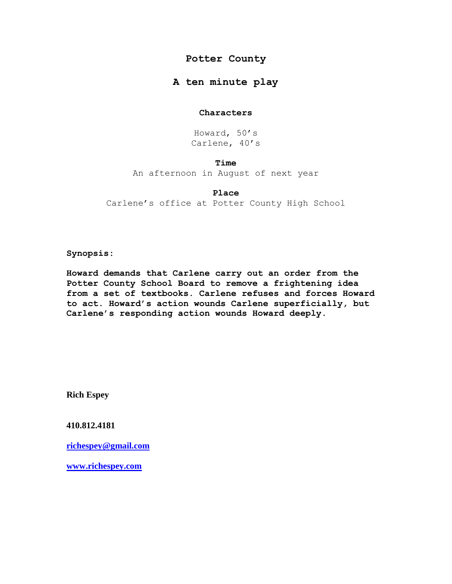# **Potter County**

# **A ten minute play**

# **Characters**

Howard, 50's Carlene, 40's

# **Time**

An afternoon in August of next year

# **Place**

Carlene's office at Potter County High School

**Synopsis:** 

**Howard demands that Carlene carry out an order from the Potter County School Board to remove a frightening idea from a set of textbooks. Carlene refuses and forces Howard to act. Howard's action wounds Carlene superficially, but Carlene's responding action wounds Howard deeply.**

**Rich Espey**

**410.812.4181**

**[richespey@gmail.com](mailto:richespey@gmail.com)**

**[www.richespey.com](http://www.richespey.com/)**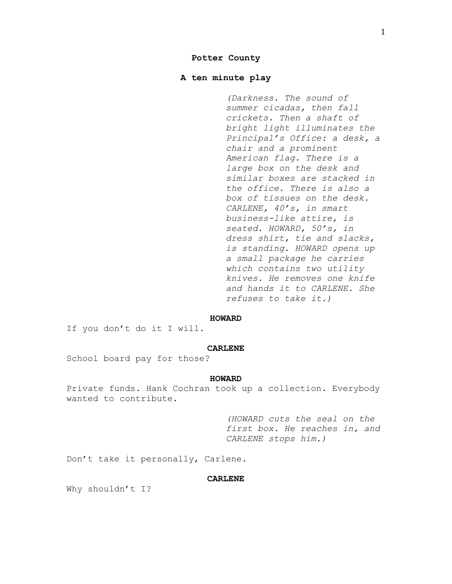# **Potter County**

# **A ten minute play**

*(Darkness. The sound of summer cicadas, then fall crickets. Then a shaft of bright light illuminates the Principal's Office: a desk, a chair and a prominent American flag. There is a large box on the desk and similar boxes are stacked in the office. There is also a box of tissues on the desk. CARLENE, 40's, in smart business-like attire, is seated. HOWARD, 50's, in dress shirt, tie and slacks, is standing. HOWARD opens up a small package he carries which contains two utility knives. He removes one knife and hands it to CARLENE. She refuses to take it.)*

#### **HOWARD**

If you don't do it I will.

### **CARLENE**

School board pay for those?

#### **HOWARD**

Private funds. Hank Cochran took up a collection. Everybody wanted to contribute.

> *(HOWARD cuts the seal on the first box. He reaches in, and CARLENE stops him.)*

Don't take it personally, Carlene.

# **CARLENE**

Why shouldn't I?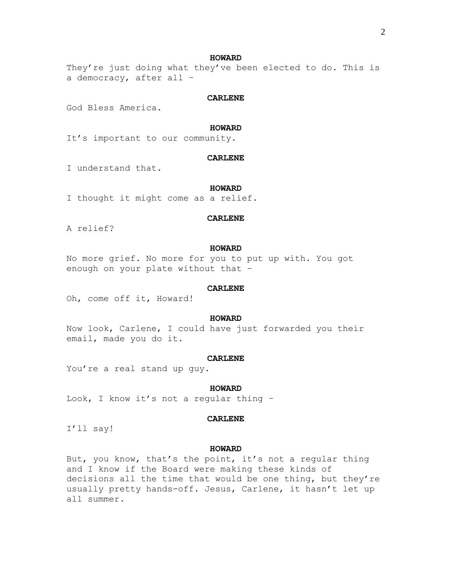They're just doing what they've been elected to do. This is a democracy, after all –

## **CARLENE**

God Bless America.

#### **HOWARD**

It's important to our community.

## **CARLENE**

I understand that.

## **HOWARD**

I thought it might come as a relief.

## **CARLENE**

A relief?

# **HOWARD**

No more grief. No more for you to put up with. You got enough on your plate without that –

## **CARLENE**

Oh, come off it, Howard!

## **HOWARD**

Now look, Carlene, I could have just forwarded you their email, made you do it.

## **CARLENE**

You're a real stand up guy.

#### **HOWARD**

Look, I know it's not a regular thing –

### **CARLENE**

I'll say!

# **HOWARD**

But, you know, that's the point, it's not a regular thing and I know if the Board were making these kinds of decisions all the time that would be one thing, but they're usually pretty hands-off. Jesus, Carlene, it hasn't let up all summer.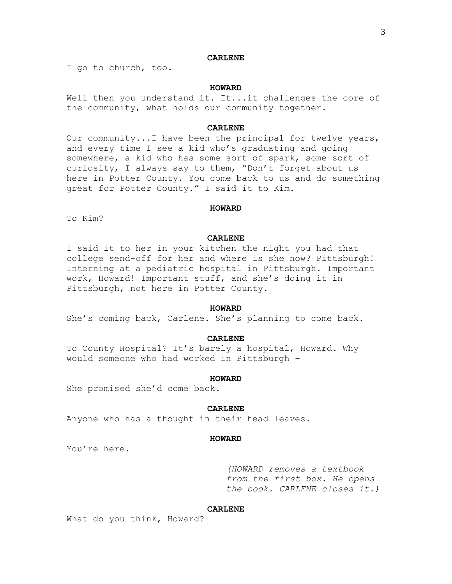## **CARLENE**

I go to church, too.

## **HOWARD**

Well then you understand it. It...it challenges the core of the community, what holds our community together.

## **CARLENE**

Our community...I have been the principal for twelve years, and every time I see a kid who's graduating and going somewhere, a kid who has some sort of spark, some sort of curiosity, I always say to them, "Don't forget about us here in Potter County. You come back to us and do something great for Potter County." I said it to Kim.

#### **HOWARD**

To Kim?

## **CARLENE**

I said it to her in your kitchen the night you had that college send-off for her and where is she now? Pittsburgh! Interning at a pediatric hospital in Pittsburgh. Important work, Howard! Important stuff, and she's doing it in Pittsburgh, not here in Potter County.

# **HOWARD**

She's coming back, Carlene. She's planning to come back.

### **CARLENE**

To County Hospital? It's barely a hospital, Howard. Why would someone who had worked in Pittsburgh –

#### **HOWARD**

She promised she'd come back.

#### **CARLENE**

Anyone who has a thought in their head leaves.

## **HOWARD**

You're here.

*(HOWARD removes a textbook from the first box. He opens the book. CARLENE closes it.)*

# **CARLENE**

What do you think, Howard?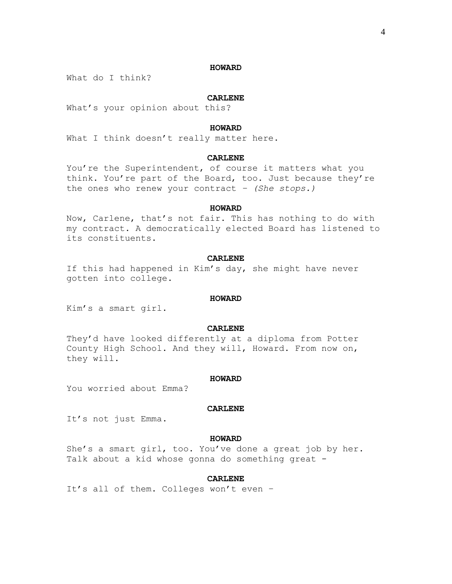What do I think?

## **CARLENE**

What's your opinion about this?

## **HOWARD**

What I think doesn't really matter here.

# **CARLENE**

You're the Superintendent, of course it matters what you think. You're part of the Board, too. Just because they're the ones who renew your contract *– (She stops.)*

## **HOWARD**

Now, Carlene, that's not fair. This has nothing to do with my contract. A democratically elected Board has listened to its constituents.

## **CARLENE**

If this had happened in Kim's day, she might have never gotten into college.

## **HOWARD**

Kim's a smart girl.

### **CARLENE**

They'd have looked differently at a diploma from Potter County High School. And they will, Howard. From now on, they will.

#### **HOWARD**

You worried about Emma?

## **CARLENE**

It's not just Emma.

## **HOWARD**

She's a smart girl, too. You've done a great job by her. Talk about a kid whose gonna do something great -

## **CARLENE**

It's all of them. Colleges won't even –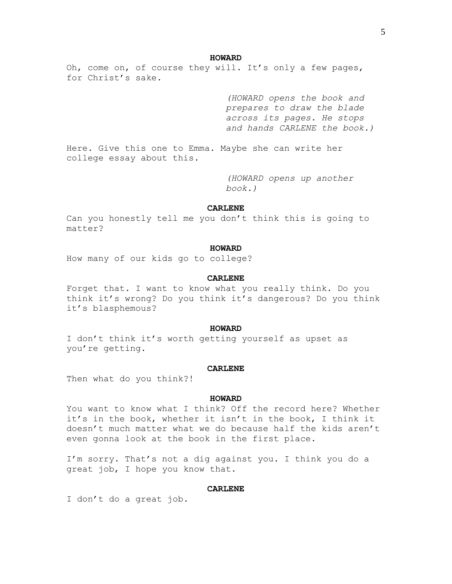Oh, come on, of course they will. It's only a few pages, for Christ's sake.

> *(HOWARD opens the book and prepares to draw the blade across its pages. He stops and hands CARLENE the book.)*

Here. Give this one to Emma. Maybe she can write her college essay about this.

> *(HOWARD opens up another book.)*

## **CARLENE**

Can you honestly tell me you don't think this is going to matter?

## **HOWARD**

How many of our kids go to college?

## **CARLENE**

Forget that. I want to know what you really think. Do you think it's wrong? Do you think it's dangerous? Do you think it's blasphemous?

## **HOWARD**

I don't think it's worth getting yourself as upset as you're getting.

#### **CARLENE**

Then what do you think?!

#### **HOWARD**

You want to know what I think? Off the record here? Whether it's in the book, whether it isn't in the book, I think it doesn't much matter what we do because half the kids aren't even gonna look at the book in the first place.

I'm sorry. That's not a dig against you. I think you do a great job, I hope you know that.

## **CARLENE**

I don't do a great job.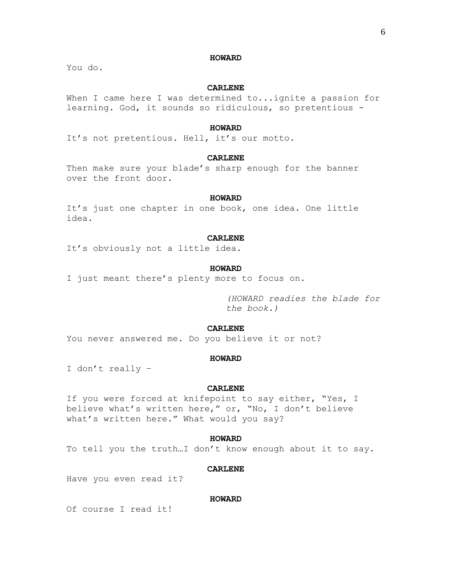You do.

## **CARLENE**

When I came here I was determined to...ignite a passion for learning. God, it sounds so ridiculous, so pretentious -

#### **HOWARD**

It's not pretentious. Hell, it's our motto.

# **CARLENE**

Then make sure your blade's sharp enough for the banner over the front door.

## **HOWARD**

It's just one chapter in one book, one idea. One little idea.

## **CARLENE**

It's obviously not a little idea.

## **HOWARD**

I just meant there's plenty more to focus on.

*(HOWARD readies the blade for the book.)*

# **CARLENE**

You never answered me. Do you believe it or not?

## **HOWARD**

I don't really –

## **CARLENE**

If you were forced at knifepoint to say either, "Yes, I believe what's written here," or, "No, I don't believe what's written here." What would you say?

## **HOWARD**

To tell you the truth…I don't know enough about it to say.

#### **CARLENE**

Have you even read it?

## **HOWARD**

Of course I read it!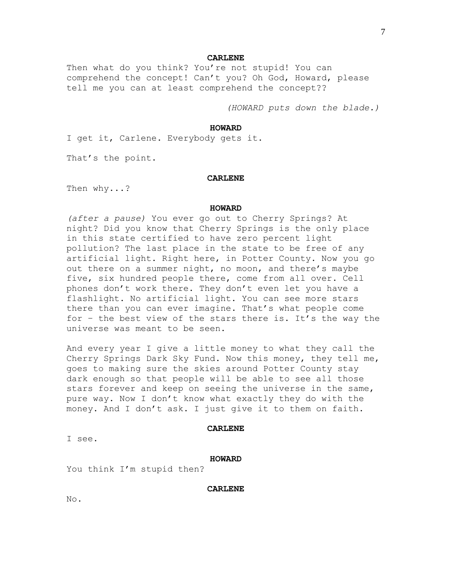#### **CARLENE**

Then what do you think? You're not stupid! You can comprehend the concept! Can't you? Oh God, Howard, please tell me you can at least comprehend the concept??

*(HOWARD puts down the blade.)*

## **HOWARD**

I get it, Carlene. Everybody gets it.

That's the point.

## **CARLENE**

Then why...?

#### **HOWARD**

*(after a pause)* You ever go out to Cherry Springs? At night? Did you know that Cherry Springs is the only place in this state certified to have zero percent light pollution? The last place in the state to be free of any artificial light. Right here, in Potter County. Now you go out there on a summer night, no moon, and there's maybe five, six hundred people there, come from all over. Cell phones don't work there. They don't even let you have a flashlight. No artificial light. You can see more stars there than you can ever imagine. That's what people come for – the best view of the stars there is. It's the way the universe was meant to be seen.

And every year I give a little money to what they call the Cherry Springs Dark Sky Fund. Now this money, they tell me, goes to making sure the skies around Potter County stay dark enough so that people will be able to see all those stars forever and keep on seeing the universe in the same, pure way. Now I don't know what exactly they do with the money. And I don't ask. I just give it to them on faith.

#### **CARLENE**

I see.

### **HOWARD**

You think I'm stupid then?

**CARLENE**

No.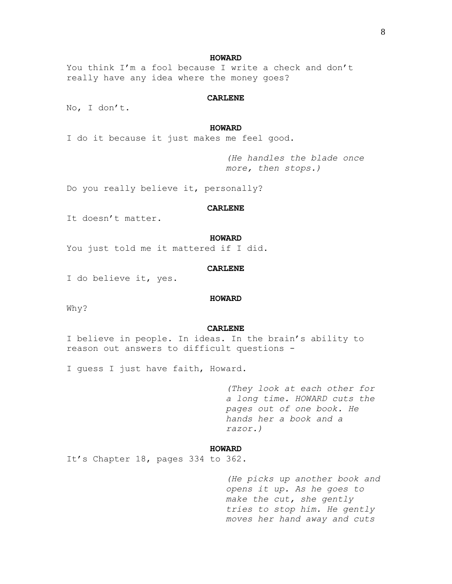You think I'm a fool because I write a check and don't really have any idea where the money goes?

# **CARLENE**

No, I don't.

### **HOWARD**

I do it because it just makes me feel good.

*(He handles the blade once more, then stops.)*

Do you really believe it, personally?

## **CARLENE**

It doesn't matter.

### **HOWARD**

You just told me it mattered if I did.

## **CARLENE**

I do believe it, yes.

## **HOWARD**

Why?

## **CARLENE**

I believe in people. In ideas. In the brain's ability to reason out answers to difficult questions -

I guess I just have faith, Howard.

*(They look at each other for a long time. HOWARD cuts the pages out of one book. He hands her a book and a razor.)*

### **HOWARD**

It's Chapter 18, pages 334 to 362.

*(He picks up another book and opens it up. As he goes to make the cut, she gently tries to stop him. He gently moves her hand away and cuts*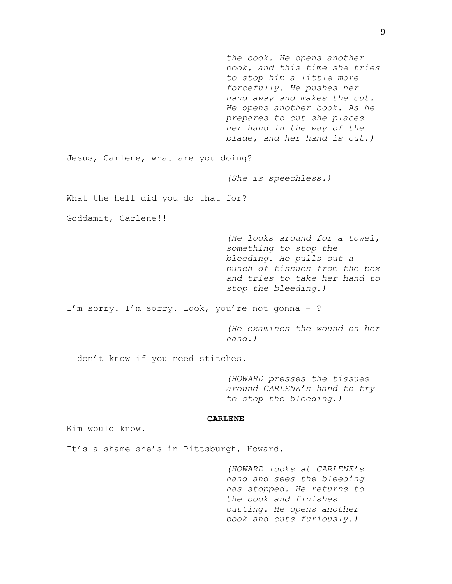*the book. He opens another book, and this time she tries to stop him a little more forcefully. He pushes her hand away and makes the cut. He opens another book. As he prepares to cut she places her hand in the way of the blade, and her hand is cut.)* Jesus, Carlene, what are you doing? *(She is speechless.)* What the hell did you do that for? Goddamit, Carlene!! *(He looks around for a towel, something to stop the bleeding. He pulls out a bunch of tissues from the box and tries to take her hand to stop the bleeding.)* I'm sorry. I'm sorry. Look, you're not gonna - ? *(He examines the wound on her hand.)* I don't know if you need stitches. *(HOWARD presses the tissues around CARLENE's hand to try to stop the bleeding.)* **CARLENE** Kim would know. It's a shame she's in Pittsburgh, Howard. *(HOWARD looks at CARLENE's hand and sees the bleeding* 

*has stopped. He returns to the book and finishes cutting. He opens another book and cuts furiously.)*